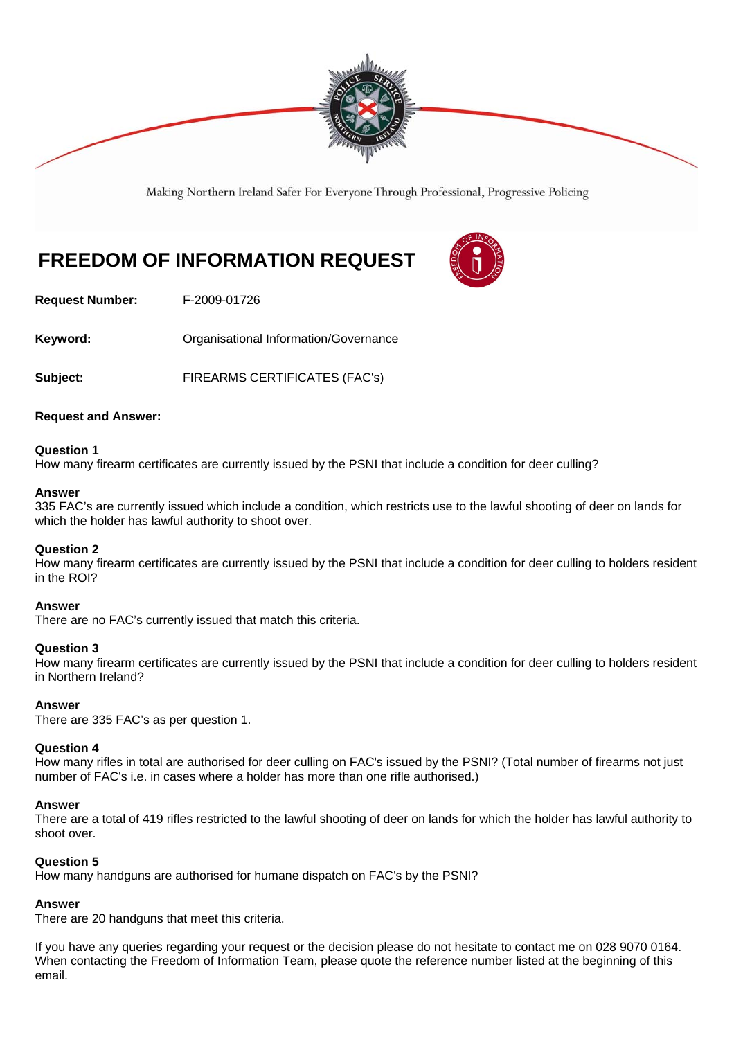

Making Northern Ireland Safer For Everyone Through Professional, Progressive Policing

# **FREEDOM OF INFORMATION REQUEST**



**Request Number:** F-2009-01726

**Keyword: Conservery Conserversity Conserversity Conservance** Conservational Information/Governance

**Subject:** FIREARMS CERTIFICATES (FAC's)

# **Request and Answer:**

#### **Question 1**

How many firearm certificates are currently issued by the PSNI that include a condition for deer culling?

#### **Answer**

335 FAC's are currently issued which include a condition, which restricts use to the lawful shooting of deer on lands for which the holder has lawful authority to shoot over.

# **Question 2**

How many firearm certificates are currently issued by the PSNI that include a condition for deer culling to holders resident in the ROI?

#### **Answer**

There are no FAC's currently issued that match this criteria.

#### **Question 3**

How many firearm certificates are currently issued by the PSNI that include a condition for deer culling to holders resident in Northern Ireland?

#### **Answer**

There are 335 FAC's as per question 1.

#### **Question 4**

How many rifles in total are authorised for deer culling on FAC's issued by the PSNI? (Total number of firearms not just number of FAC's i.e. in cases where a holder has more than one rifle authorised.)

#### **Answer**

There are a total of 419 rifles restricted to the lawful shooting of deer on lands for which the holder has lawful authority to shoot over.

# **Question 5**

How many handguns are authorised for humane dispatch on FAC's by the PSNI?

# **Answer**

There are 20 handguns that meet this criteria.

If you have any queries regarding your request or the decision please do not hesitate to contact me on 028 9070 0164. When contacting the Freedom of Information Team, please quote the reference number listed at the beginning of this email.